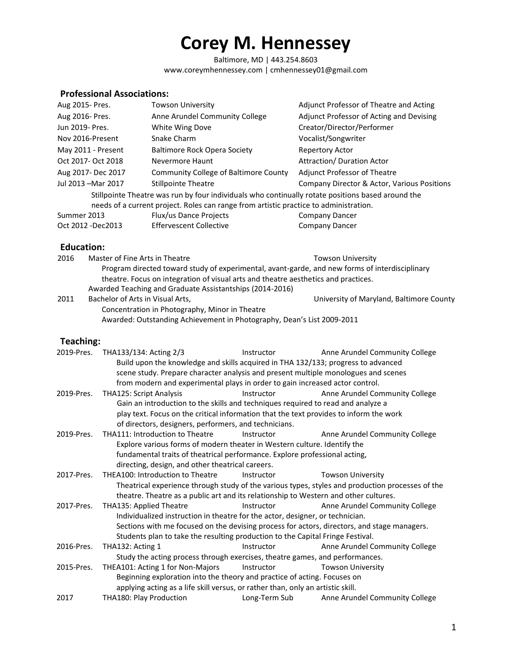Baltimore, MD | 443.254.8603 www.coreymhennessey.com | cmhennessey01@gmail.com

## **Professional Associations:**

| Aug 2015- Pres.     | <b>Towson University</b>                                                                                                                                                                   | Adjunct Professor of Theatre and Acting     |
|---------------------|--------------------------------------------------------------------------------------------------------------------------------------------------------------------------------------------|---------------------------------------------|
| Aug 2016- Pres.     | Anne Arundel Community College                                                                                                                                                             | Adjunct Professor of Acting and Devising    |
| Jun 2019- Pres.     | White Wing Dove                                                                                                                                                                            | Creator/Director/Performer                  |
| Nov 2016-Present    | Snake Charm                                                                                                                                                                                | Vocalist/Songwriter                         |
| May 2011 - Present  | <b>Baltimore Rock Opera Society</b>                                                                                                                                                        | <b>Repertory Actor</b>                      |
| Oct 2017- Oct 2018  | Nevermore Haunt                                                                                                                                                                            | Attraction/ Duration Actor                  |
| Aug 2017- Dec 2017  | Community College of Baltimore County                                                                                                                                                      | Adjunct Professor of Theatre                |
| Jul 2013 - Mar 2017 | <b>Stillpointe Theatre</b>                                                                                                                                                                 | Company Director & Actor, Various Positions |
|                     | Stillpointe Theatre was run by four individuals who continually rotate positions based around the<br>needs of a current project. Roles can range from artistic practice to administration. |                                             |
| Summer 2013         | Flux/us Dance Projects                                                                                                                                                                     | Company Dancer                              |
| Oct 2012 - Dec 2013 | <b>Effervescent Collective</b>                                                                                                                                                             | Company Dancer                              |

#### **Education:**

| 2016 | Master of Fine Arts in Theatre                                                                 | <b>Towson University</b>               |  |
|------|------------------------------------------------------------------------------------------------|----------------------------------------|--|
|      | Program directed toward study of experimental, avant-garde, and new forms of interdisciplinary |                                        |  |
|      | theatre. Focus on integration of visual arts and theatre aesthetics and practices.             |                                        |  |
|      | Awarded Teaching and Graduate Assistantships (2014-2016)                                       |                                        |  |
| 2011 | Bachelor of Arts in Visual Arts.                                                               | University of Maryland, Baltimore Cour |  |

**2011** Bachelor of Marts in Visual Arts, University of Maryland, Baltimore County Concentration in Photography, Minor in Theatre Awarded: Outstanding Achievement in Photography, Dean's List 2009-2011

### **Teaching:**

| 2019-Pres. | THA133/134: Acting 2/3                                                               | <b>Instructor</b> | Anne Arundel Community College                                                                   |  |  |
|------------|--------------------------------------------------------------------------------------|-------------------|--------------------------------------------------------------------------------------------------|--|--|
|            | Build upon the knowledge and skills acquired in THA 132/133; progress to advanced    |                   |                                                                                                  |  |  |
|            |                                                                                      |                   | scene study. Prepare character analysis and present multiple monologues and scenes               |  |  |
|            | from modern and experimental plays in order to gain increased actor control.         |                   |                                                                                                  |  |  |
| 2019-Pres. | THA125: Script Analysis                                                              | Instructor        | Anne Arundel Community College                                                                   |  |  |
|            | Gain an introduction to the skills and techniques required to read and analyze a     |                   |                                                                                                  |  |  |
|            |                                                                                      |                   | play text. Focus on the critical information that the text provides to inform the work           |  |  |
|            | of directors, designers, performers, and technicians.                                |                   |                                                                                                  |  |  |
| 2019-Pres. | THA111: Introduction to Theatre                                                      | Instructor        | Anne Arundel Community College                                                                   |  |  |
|            | Explore various forms of modern theater in Western culture. Identify the             |                   |                                                                                                  |  |  |
|            | fundamental traits of theatrical performance. Explore professional acting,           |                   |                                                                                                  |  |  |
|            | directing, design, and other theatrical careers.                                     |                   |                                                                                                  |  |  |
| 2017-Pres. | THEA100: Introduction to Theatre                                                     | Instructor        | <b>Towson University</b>                                                                         |  |  |
|            |                                                                                      |                   | Theatrical experience through study of the various types, styles and production processes of the |  |  |
|            | theatre. Theatre as a public art and its relationship to Western and other cultures. |                   |                                                                                                  |  |  |
| 2017-Pres. | THA135: Applied Theatre                                                              | Instructor        | Anne Arundel Community College                                                                   |  |  |
|            | Individualized instruction in theatre for the actor, designer, or technician.        |                   |                                                                                                  |  |  |
|            |                                                                                      |                   | Sections with me focused on the devising process for actors, directors, and stage managers.      |  |  |
|            | Students plan to take the resulting production to the Capital Fringe Festival.       |                   |                                                                                                  |  |  |
| 2016-Pres. | THA132: Acting 1                                                                     | Instructor        | Anne Arundel Community College                                                                   |  |  |
|            | Study the acting process through exercises, theatre games, and performances.         |                   |                                                                                                  |  |  |
| 2015-Pres. | THEA101: Acting 1 for Non-Majors                                                     | Instructor        | <b>Towson University</b>                                                                         |  |  |
|            | Beginning exploration into the theory and practice of acting. Focuses on             |                   |                                                                                                  |  |  |
|            | applying acting as a life skill versus, or rather than, only an artistic skill.      |                   |                                                                                                  |  |  |
| $2017$     |                                                                                      |                   | TUA100 Dou Draduation Long Torm Cub Anno Arundal Community Collogo                               |  |  |

2017 THA180: Play Production Long-Term Sub Anne Arundel Community College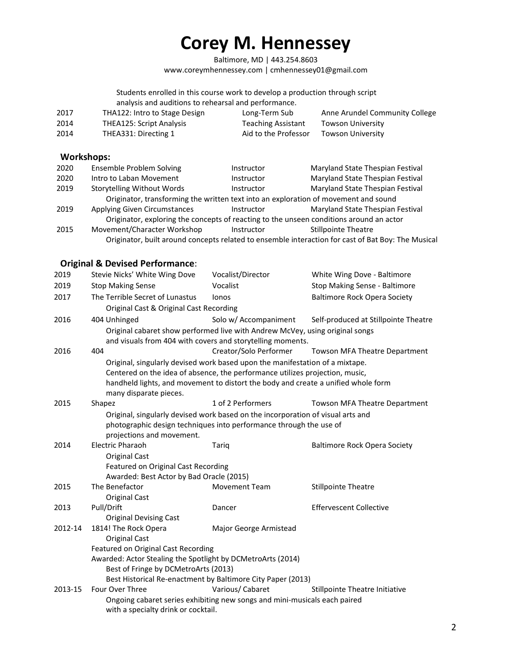Baltimore, MD | 443.254.8603 www.coreymhennessey.com | cmhennessey01@gmail.com

Students enrolled in this course work to develop a production through script analysis and auditions to rehearsal and performance.

|                   |                                                                                                    | analysis and additions to reflearsal and performance.                                   |                                                                                                    |
|-------------------|----------------------------------------------------------------------------------------------------|-----------------------------------------------------------------------------------------|----------------------------------------------------------------------------------------------------|
| 2017              | THA122: Intro to Stage Design                                                                      | Long-Term Sub                                                                           | Anne Arundel Community College                                                                     |
| 2014              | THEA125: Script Analysis                                                                           | <b>Teaching Assistant</b>                                                               | <b>Towson University</b>                                                                           |
| 2014              | THEA331: Directing 1                                                                               | Aid to the Professor                                                                    | <b>Towson University</b>                                                                           |
| <b>Workshops:</b> |                                                                                                    |                                                                                         |                                                                                                    |
| 2020              | <b>Ensemble Problem Solving</b>                                                                    | Instructor                                                                              | Maryland State Thespian Festival                                                                   |
| 2020              | Intro to Laban Movement                                                                            | Instructor                                                                              | Maryland State Thespian Festival                                                                   |
| 2019              | <b>Storytelling Without Words</b>                                                                  | Instructor                                                                              | Maryland State Thespian Festival                                                                   |
|                   |                                                                                                    | Originator, transforming the written text into an exploration of movement and sound     |                                                                                                    |
| 2019              | <b>Applying Given Circumstances</b>                                                                | Instructor                                                                              | Maryland State Thespian Festival                                                                   |
|                   |                                                                                                    | Originator, exploring the concepts of reacting to the unseen conditions around an actor |                                                                                                    |
| 2015              | Movement/Character Workshop                                                                        | Instructor                                                                              | <b>Stillpointe Theatre</b>                                                                         |
|                   |                                                                                                    |                                                                                         | Originator, built around concepts related to ensemble interaction for cast of Bat Boy: The Musical |
|                   | <b>Original &amp; Devised Performance:</b>                                                         |                                                                                         |                                                                                                    |
| 2019              | Stevie Nicks' White Wing Dove                                                                      | Vocalist/Director                                                                       | White Wing Dove - Baltimore                                                                        |
| 2019              | <b>Stop Making Sense</b>                                                                           | Vocalist                                                                                | Stop Making Sense - Baltimore                                                                      |
| 2017              | The Terrible Secret of Lunastus                                                                    | lonos                                                                                   | <b>Baltimore Rock Opera Society</b>                                                                |
|                   | Original Cast & Original Cast Recording                                                            |                                                                                         |                                                                                                    |
| 2016              | 404 Unhinged                                                                                       | Solo w/ Accompaniment                                                                   | Self-produced at Stillpointe Theatre                                                               |
|                   |                                                                                                    | Original cabaret show performed live with Andrew McVey, using original songs            |                                                                                                    |
|                   |                                                                                                    | and visuals from 404 with covers and storytelling moments.                              |                                                                                                    |
| 2016              | 404                                                                                                | Creator/Solo Performer                                                                  | Towson MFA Theatre Department                                                                      |
|                   |                                                                                                    | Original, singularly devised work based upon the manifestation of a mixtape.            |                                                                                                    |
|                   |                                                                                                    | Centered on the idea of absence, the performance utilizes projection, music,            |                                                                                                    |
|                   |                                                                                                    | handheld lights, and movement to distort the body and create a unified whole form       |                                                                                                    |
|                   | many disparate pieces.                                                                             |                                                                                         |                                                                                                    |
| 2015              | Shapez                                                                                             | 1 of 2 Performers                                                                       | Towson MFA Theatre Department                                                                      |
|                   |                                                                                                    | Original, singularly devised work based on the incorporation of visual arts and         |                                                                                                    |
|                   |                                                                                                    | photographic design techniques into performance through the use of                      |                                                                                                    |
|                   | projections and movement.                                                                          |                                                                                         |                                                                                                    |
| 2014              | <b>Electric Pharaoh</b>                                                                            | Tariq                                                                                   | <b>Baltimore Rock Opera Society</b>                                                                |
|                   | <b>Original Cast</b>                                                                               |                                                                                         |                                                                                                    |
|                   | Featured on Original Cast Recording                                                                |                                                                                         |                                                                                                    |
|                   | Awarded: Best Actor by Bad Oracle (2015)                                                           |                                                                                         |                                                                                                    |
| 2015              | The Benefactor                                                                                     | <b>Movement Team</b>                                                                    | <b>Stillpointe Theatre</b>                                                                         |
|                   | <b>Original Cast</b>                                                                               |                                                                                         |                                                                                                    |
| 2013              | Pull/Drift                                                                                         | Dancer                                                                                  | <b>Effervescent Collective</b>                                                                     |
|                   | <b>Original Devising Cast</b>                                                                      |                                                                                         |                                                                                                    |
| 2012-14           | 1814! The Rock Opera                                                                               | Major George Armistead                                                                  |                                                                                                    |
|                   | <b>Original Cast</b>                                                                               |                                                                                         |                                                                                                    |
|                   | Featured on Original Cast Recording<br>Awarded: Actor Stealing the Spotlight by DCMetroArts (2014) |                                                                                         |                                                                                                    |
|                   | Best of Fringe by DCMetroArts (2013)                                                               |                                                                                         |                                                                                                    |
|                   |                                                                                                    | Best Historical Re-enactment by Baltimore City Paper (2013)                             |                                                                                                    |
| 2013-15           | Four Over Three                                                                                    | Various/Cabaret                                                                         | Stillpointe Theatre Initiative                                                                     |
|                   |                                                                                                    | Ongoing cabaret series exhibiting new songs and mini-musicals each paired               |                                                                                                    |
|                   | with a specialty drink or cocktail.                                                                |                                                                                         |                                                                                                    |
|                   |                                                                                                    |                                                                                         |                                                                                                    |
|                   |                                                                                                    |                                                                                         |                                                                                                    |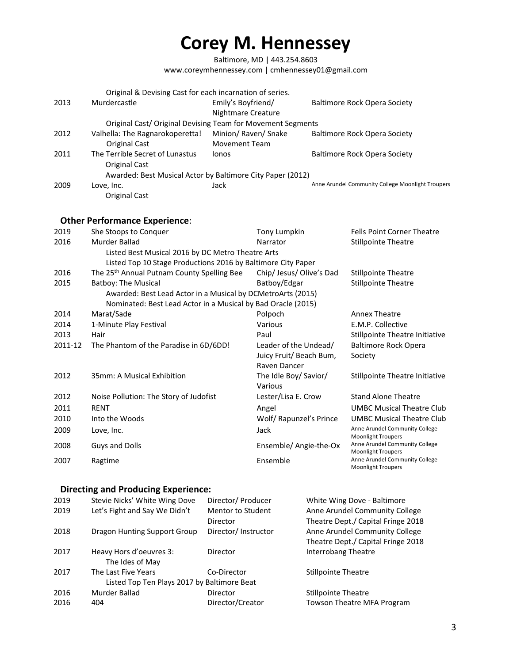Baltimore, MD | 443.254.8603 www.coreymhennessey.com | cmhennessey01@gmail.com

|         | Original & Devising Cast for each incarnation of series.     |                                                 |                                         |  |                                                             |
|---------|--------------------------------------------------------------|-------------------------------------------------|-----------------------------------------|--|-------------------------------------------------------------|
| 2013    | Murdercastle                                                 | Emily's Boyfriend/<br><b>Nightmare Creature</b> |                                         |  | <b>Baltimore Rock Opera Society</b>                         |
|         | Original Cast/ Original Devising Team for Movement Segments  |                                                 |                                         |  |                                                             |
| 2012    | Valhella: The Ragnarokoperetta!                              | Minion/Raven/Snake                              |                                         |  | <b>Baltimore Rock Opera Society</b>                         |
|         | <b>Original Cast</b>                                         | <b>Movement Team</b>                            |                                         |  |                                                             |
| 2011    | The Terrible Secret of Lunastus                              | lonos                                           |                                         |  | <b>Baltimore Rock Opera Society</b>                         |
|         | <b>Original Cast</b>                                         |                                                 |                                         |  |                                                             |
|         | Awarded: Best Musical Actor by Baltimore City Paper (2012)   |                                                 |                                         |  |                                                             |
| 2009    | Love, Inc.                                                   | Jack                                            |                                         |  | Anne Arundel Community College Moonlight Troupers           |
|         | <b>Original Cast</b>                                         |                                                 |                                         |  |                                                             |
|         |                                                              |                                                 |                                         |  |                                                             |
|         | <b>Other Performance Experience:</b>                         |                                                 |                                         |  |                                                             |
| 2019    | She Stoops to Conquer                                        |                                                 | <b>Tony Lumpkin</b>                     |  | <b>Fells Point Corner Theatre</b>                           |
| 2016    | Murder Ballad                                                |                                                 | Narrator                                |  | <b>Stillpointe Theatre</b>                                  |
|         | Listed Best Musical 2016 by DC Metro Theatre Arts            |                                                 |                                         |  |                                                             |
|         | Listed Top 10 Stage Productions 2016 by Baltimore City Paper |                                                 |                                         |  |                                                             |
| 2016    | The 25 <sup>th</sup> Annual Putnam County Spelling Bee       |                                                 | Chip/ Jesus/ Olive's Dad                |  | <b>Stillpointe Theatre</b>                                  |
| 2015    | <b>Batboy: The Musical</b>                                   |                                                 | Batboy/Edgar                            |  | <b>Stillpointe Theatre</b>                                  |
|         | Awarded: Best Lead Actor in a Musical by DCMetroArts (2015)  |                                                 |                                         |  |                                                             |
|         | Nominated: Best Lead Actor in a Musical by Bad Oracle (2015) |                                                 |                                         |  |                                                             |
| 2014    | Marat/Sade                                                   |                                                 | Polpoch                                 |  | <b>Annex Theatre</b>                                        |
| 2014    | 1-Minute Play Festival                                       |                                                 | Various                                 |  | E.M.P. Collective                                           |
| 2013    | Hair                                                         |                                                 | Paul                                    |  | <b>Stillpointe Theatre Initiative</b>                       |
| 2011-12 | The Phantom of the Paradise in 6D/6DD!                       |                                                 | Leader of the Undead/                   |  | <b>Baltimore Rock Opera</b>                                 |
|         |                                                              |                                                 | Juicy Fruit/ Beach Bum,<br>Raven Dancer |  | Society                                                     |
| 2012    | 35mm: A Musical Exhibition                                   |                                                 | The Idle Boy/ Savior/                   |  | <b>Stillpointe Theatre Initiative</b>                       |
|         |                                                              |                                                 | Various                                 |  |                                                             |
| 2012    | Noise Pollution: The Story of Judofist                       |                                                 | Lester/Lisa E. Crow                     |  | <b>Stand Alone Theatre</b>                                  |
| 2011    | <b>RENT</b>                                                  |                                                 | Angel                                   |  | <b>UMBC Musical Theatre Club</b>                            |
| 2010    | Into the Woods                                               |                                                 | Wolf/ Rapunzel's Prince                 |  | <b>UMBC Musical Theatre Club</b>                            |
| 2009    | Love, Inc.                                                   |                                                 | Jack                                    |  | Anne Arundel Community College<br><b>Moonlight Troupers</b> |
| 2008    | <b>Guys and Dolls</b>                                        |                                                 | Ensemble/ Angie-the-Ox                  |  | Anne Arundel Community College<br><b>Moonlight Troupers</b> |
| 2007    | Ragtime                                                      |                                                 | Ensemble                                |  | Anne Arundel Community College<br><b>Moonlight Troupers</b> |
|         |                                                              |                                                 |                                         |  |                                                             |

## **Directing and Producing Experience:**

| 2019 | Stevie Nicks' White Wing Dove               | Director/ Producer  | White Wing Dove - Baltimore        |
|------|---------------------------------------------|---------------------|------------------------------------|
| 2019 | Let's Fight and Say We Didn't               | Mentor to Student   | Anne Arundel Community College     |
|      |                                             | Director            | Theatre Dept./ Capital Fringe 2018 |
| 2018 | Dragon Hunting Support Group                | Director/Instructor | Anne Arundel Community College     |
|      |                                             |                     | Theatre Dept./ Capital Fringe 2018 |
| 2017 | Heavy Hors d'oeuvres 3:                     | Director            | <b>Interrobang Theatre</b>         |
|      | The Ides of May                             |                     |                                    |
| 2017 | The Last Five Years                         | Co-Director         | <b>Stillpointe Theatre</b>         |
|      | Listed Top Ten Plays 2017 by Baltimore Beat |                     |                                    |
| 2016 | Murder Ballad                               | <b>Director</b>     | <b>Stillpointe Theatre</b>         |
| 2016 | 404                                         | Director/Creator    | <b>Towson Theatre MFA Program</b>  |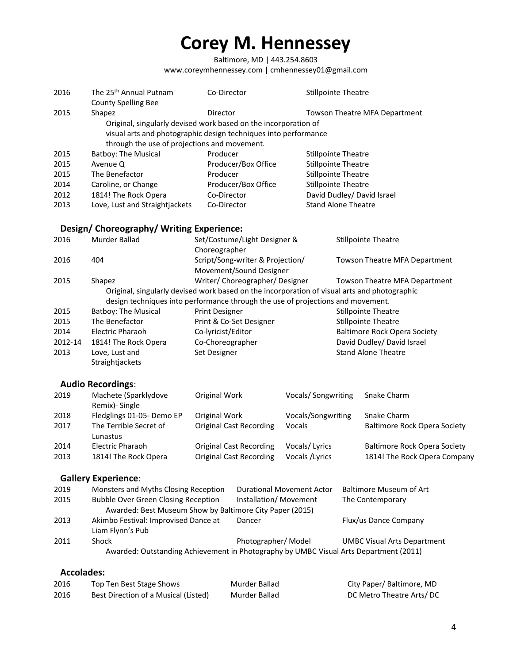Baltimore, MD | 443.254.8603 www.coreymhennessey.com | cmhennessey01@gmail.com

| 2016              | The 25 <sup>th</sup> Annual Putnam<br><b>County Spelling Bee</b>                                                                                                                   | Co-Director                      |                                                             |                    | <b>Stillpointe Theatre</b>          |                                     |  |
|-------------------|------------------------------------------------------------------------------------------------------------------------------------------------------------------------------------|----------------------------------|-------------------------------------------------------------|--------------------|-------------------------------------|-------------------------------------|--|
| 2015              | Shapez                                                                                                                                                                             | Director                         |                                                             |                    | Towson Theatre MFA Department       |                                     |  |
|                   | Original, singularly devised work based on the incorporation of<br>visual arts and photographic design techniques into performance<br>through the use of projections and movement. |                                  |                                                             |                    |                                     |                                     |  |
| 2015              | <b>Batboy: The Musical</b>                                                                                                                                                         | Producer                         |                                                             |                    | <b>Stillpointe Theatre</b>          |                                     |  |
| 2015              | Avenue Q                                                                                                                                                                           |                                  | Producer/Box Office                                         |                    | <b>Stillpointe Theatre</b>          |                                     |  |
| 2015              | The Benefactor                                                                                                                                                                     | Producer                         |                                                             |                    | <b>Stillpointe Theatre</b>          |                                     |  |
| 2014              | Caroline, or Change                                                                                                                                                                |                                  | Producer/Box Office                                         |                    | <b>Stillpointe Theatre</b>          |                                     |  |
| 2012              | 1814! The Rock Opera                                                                                                                                                               | Co-Director                      |                                                             |                    |                                     | David Dudley/ David Israel          |  |
| 2013              | Love, Lust and Straightjackets                                                                                                                                                     | Co-Director                      |                                                             |                    | <b>Stand Alone Theatre</b>          |                                     |  |
|                   | Design/Choreography/Writing Experience:                                                                                                                                            |                                  |                                                             |                    |                                     |                                     |  |
| 2016              | Murder Ballad                                                                                                                                                                      | Choreographer                    | Set/Costume/Light Designer &                                |                    |                                     | <b>Stillpointe Theatre</b>          |  |
| 2016              | 404                                                                                                                                                                                |                                  | Script/Song-writer & Projection/<br>Movement/Sound Designer |                    |                                     | Towson Theatre MFA Department       |  |
| 2015              | Shapez                                                                                                                                                                             |                                  | Writer/Choreographer/Designer                               |                    |                                     | Towson Theatre MFA Department       |  |
|                   | Original, singularly devised work based on the incorporation of visual arts and photographic<br>design techniques into performance through the use of projections and movement.    |                                  |                                                             |                    |                                     |                                     |  |
| 2015              | <b>Batboy: The Musical</b>                                                                                                                                                         | <b>Print Designer</b>            |                                                             |                    |                                     | <b>Stillpointe Theatre</b>          |  |
| 2015              | The Benefactor                                                                                                                                                                     |                                  | Print & Co-Set Designer                                     |                    |                                     | <b>Stillpointe Theatre</b>          |  |
| 2014              | <b>Electric Pharaoh</b>                                                                                                                                                            | Co-lyricist/Editor               |                                                             |                    | <b>Baltimore Rock Opera Society</b> |                                     |  |
| 2012-14           | 1814! The Rock Opera                                                                                                                                                               | Co-Choreographer                 |                                                             |                    |                                     | David Dudley/ David Israel          |  |
| 2013              | Love, Lust and<br>Straightjackets                                                                                                                                                  | Set Designer                     |                                                             |                    |                                     | <b>Stand Alone Theatre</b>          |  |
|                   | <b>Audio Recordings:</b>                                                                                                                                                           |                                  |                                                             |                    |                                     |                                     |  |
| 2019              | Machete (Sparklydove<br>Remix) - Single                                                                                                                                            | <b>Original Work</b>             |                                                             | Vocals/Songwriting |                                     | Snake Charm                         |  |
| 2018              | Fledglings 01-05- Demo EP                                                                                                                                                          | Original Work                    |                                                             | Vocals/Songwriting |                                     | Snake Charm                         |  |
| 2017              | The Terrible Secret of<br>Lunastus                                                                                                                                                 |                                  | <b>Original Cast Recording</b>                              | Vocals             |                                     | <b>Baltimore Rock Opera Society</b> |  |
| 2014              | <b>Electric Pharaoh</b>                                                                                                                                                            |                                  | <b>Original Cast Recording</b>                              | Vocals/Lyrics      |                                     | <b>Baltimore Rock Opera Society</b> |  |
| 2013              | 1814! The Rock Opera                                                                                                                                                               |                                  | <b>Original Cast Recording</b>                              | Vocals / Lyrics    |                                     | 1814! The Rock Opera Company        |  |
|                   | <b>Gallery Experience:</b>                                                                                                                                                         |                                  |                                                             |                    |                                     |                                     |  |
| 2019              | Monsters and Myths Closing Reception                                                                                                                                               | <b>Durational Movement Actor</b> |                                                             |                    | <b>Baltimore Museum of Art</b>      |                                     |  |
| 2015              | <b>Bubble Over Green Closing Reception</b><br>Awarded: Best Museum Show by Baltimore City Paper (2015)                                                                             |                                  | Installation/Movement                                       |                    |                                     | The Contemporary                    |  |
| 2013              | Akimbo Festival: Improvised Dance at<br>Liam Flynn's Pub                                                                                                                           |                                  | Dancer                                                      |                    |                                     | Flux/us Dance Company               |  |
| 2011              | Shock                                                                                                                                                                              |                                  | Photographer/ Model                                         |                    |                                     | <b>UMBC Visual Arts Department</b>  |  |
|                   | Awarded: Outstanding Achievement in Photography by UMBC Visual Arts Department (2011)                                                                                              |                                  |                                                             |                    |                                     |                                     |  |
| <b>Accolades:</b> |                                                                                                                                                                                    |                                  |                                                             |                    |                                     |                                     |  |
| 2016              | Top Ten Best Stage Shows                                                                                                                                                           |                                  | Murder Ballad                                               |                    |                                     | City Paper/ Baltimore, MD           |  |

2016 Best Direction of a Musical (Listed) Murder Ballad DC Metro Theatre Arts/ DC